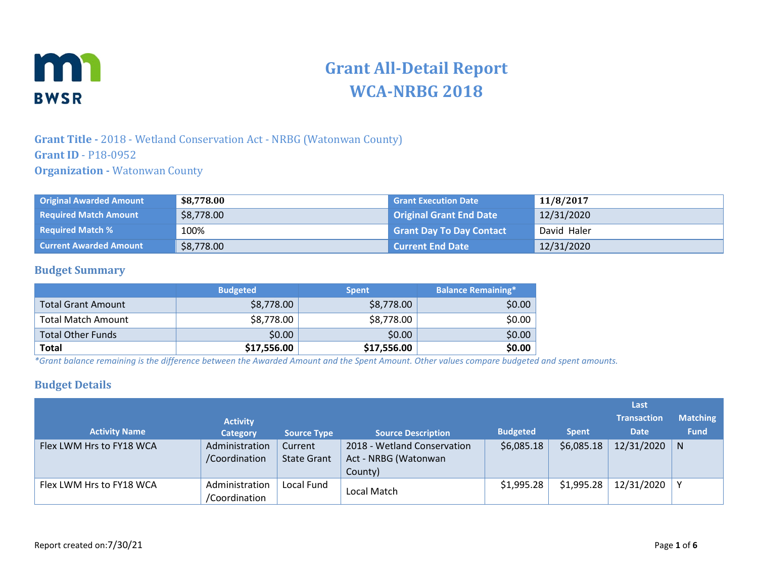

# **Grant All-Detail Report WCA-NRBG 2018**

#### **Grant Title -** 2018 - Wetland Conservation Act - NRBG (Watonwan County) **Grant ID** - P18-0952 **Organization -** Watonwan County

| <b>Original Awarded Amount</b> | \$8,778.00 | <b>Grant Execution Date</b>     | 11/8/2017   |
|--------------------------------|------------|---------------------------------|-------------|
| <b>Required Match Amount</b>   | \$8,778.00 | <b>Original Grant End Date</b>  | 12/31/2020  |
| <b>Required Match %</b>        | 100%       | <b>Grant Day To Day Contact</b> | David Haler |
| <b>Current Awarded Amount</b>  | \$8,778.00 | <b>Current End Date</b>         | 12/31/2020  |

#### **Budget Summary**

|                           | <b>Budgeted</b> | <b>Spent</b> | <b>Balance Remaining*</b> |
|---------------------------|-----------------|--------------|---------------------------|
| <b>Total Grant Amount</b> | \$8,778.00      | \$8,778.00   | \$0.00                    |
| <b>Total Match Amount</b> | \$8,778.00      | \$8,778.00   | \$0.00                    |
| <b>Total Other Funds</b>  | \$0.00          | \$0.00       | \$0.00                    |
| <b>Total</b>              | \$17,556.00     | \$17,556.00  | \$0.00                    |

*\*Grant balance remaining is the difference between the Awarded Amount and the Spent Amount. Other values compare budgeted and spent amounts.*

#### **Budget Details**

|                          |                                 |                               |                                                                |                 |              | Last               |                 |
|--------------------------|---------------------------------|-------------------------------|----------------------------------------------------------------|-----------------|--------------|--------------------|-----------------|
|                          | <b>Activity</b>                 |                               |                                                                |                 |              | <b>Transaction</b> | <b>Matching</b> |
| <b>Activity Name</b>     | <b>Category</b>                 | <b>Source Type</b>            | <b>Source Description</b>                                      | <b>Budgeted</b> | <b>Spent</b> | <b>Date</b>        | <b>Fund</b>     |
| Flex LWM Hrs to FY18 WCA | Administration<br>/Coordination | Current<br><b>State Grant</b> | 2018 - Wetland Conservation<br>Act - NRBG (Watonwan<br>County) | \$6,085.18      | \$6,085.18   | 12/31/2020         | $\mathsf{N}$    |
| Flex LWM Hrs to FY18 WCA | Administration<br>/Coordination | Local Fund                    | Local Match                                                    | \$1,995.28      | \$1,995.28   | 12/31/2020         | $\checkmark$    |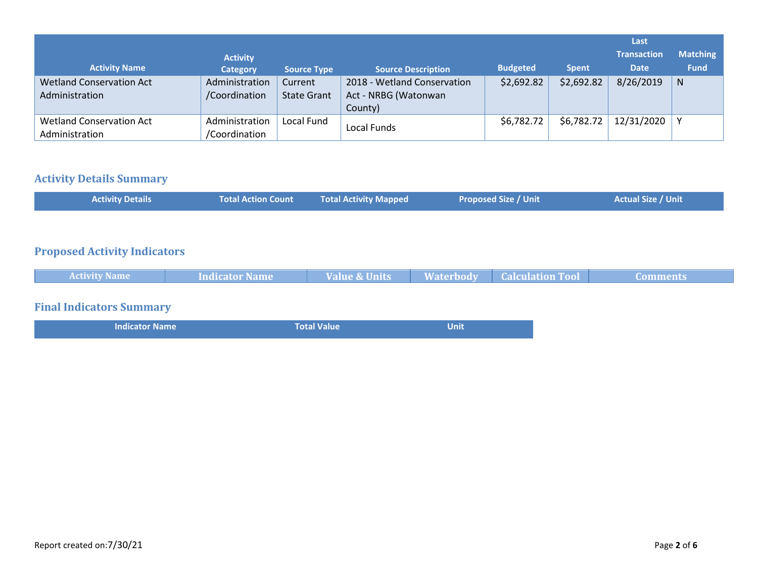|                                 |                 |                    |                             |                 |              | Last               |                 |
|---------------------------------|-----------------|--------------------|-----------------------------|-----------------|--------------|--------------------|-----------------|
|                                 | <b>Activity</b> |                    |                             |                 |              | <b>Transaction</b> | <b>Matching</b> |
| <b>Activity Name</b>            | <b>Category</b> | <b>Source Type</b> | <b>Source Description</b>   | <b>Budgeted</b> | <b>Spent</b> | <b>Date</b>        | <b>Fund</b>     |
| <b>Wetland Conservation Act</b> | Administration  | Current            | 2018 - Wetland Conservation | \$2,692.82      | \$2,692.82   | 8/26/2019          | <sub>N</sub>    |
| Administration                  | /Coordination   | <b>State Grant</b> | Act - NRBG (Watonwan        |                 |              |                    |                 |
|                                 |                 |                    | County)                     |                 |              |                    |                 |
| <b>Wetland Conservation Act</b> | Administration  | Local Fund         | Local Funds                 | \$6,782.72      | \$6,782.72   | 12/31/2020         |                 |
| Administration                  | /Coordination   |                    |                             |                 |              |                    |                 |

#### **Activity Details Summary**

| <b>Activity Details</b><br><b>Total Action Count</b> | <b>Total Activity Mapped</b> | <b>Proposed Size / Unit</b> | <b>Actual Size / Unit</b> |
|------------------------------------------------------|------------------------------|-----------------------------|---------------------------|
|------------------------------------------------------|------------------------------|-----------------------------|---------------------------|

## **Proposed Activity Indicators**

|  | <b>Activity Name</b> | <b>Indicator Name</b> | <b>Value &amp; Units</b><br>nue & Units | <b>Waterbody</b> | <b>Calculation Tool</b> | ה+ ביה בני ביו |
|--|----------------------|-----------------------|-----------------------------------------|------------------|-------------------------|----------------|
|--|----------------------|-----------------------|-----------------------------------------|------------------|-------------------------|----------------|

# **Final Indicators Summary**

| <b>Indicator Name</b> | <b>Total Value</b> | <b>Unit</b> |
|-----------------------|--------------------|-------------|
|                       |                    |             |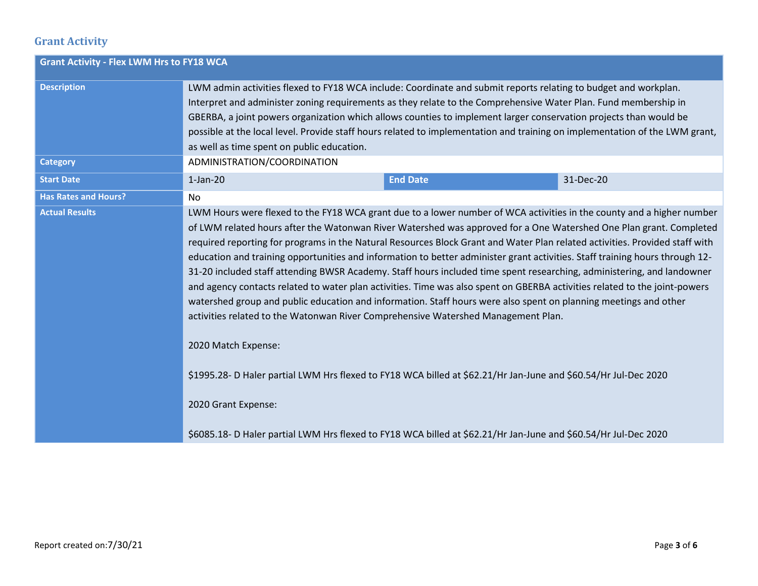## **Grant Activity**

| <b>Grant Activity - Flex LWM Hrs to FY18 WCA</b> |                                                                                                                                                                                                                                                                                                                                                                                                                                                                                                                                      |  |                                                                                                                                                                                                                                                                                                                                                                                                                                                                                                                                                                                                                                                                                                                                                                    |  |  |  |
|--------------------------------------------------|--------------------------------------------------------------------------------------------------------------------------------------------------------------------------------------------------------------------------------------------------------------------------------------------------------------------------------------------------------------------------------------------------------------------------------------------------------------------------------------------------------------------------------------|--|--------------------------------------------------------------------------------------------------------------------------------------------------------------------------------------------------------------------------------------------------------------------------------------------------------------------------------------------------------------------------------------------------------------------------------------------------------------------------------------------------------------------------------------------------------------------------------------------------------------------------------------------------------------------------------------------------------------------------------------------------------------------|--|--|--|
| <b>Description</b><br><b>Category</b>            | LWM admin activities flexed to FY18 WCA include: Coordinate and submit reports relating to budget and workplan.<br>Interpret and administer zoning requirements as they relate to the Comprehensive Water Plan. Fund membership in<br>GBERBA, a joint powers organization which allows counties to implement larger conservation projects than would be<br>possible at the local level. Provide staff hours related to implementation and training on implementation of the LWM grant,<br>as well as time spent on public education. |  |                                                                                                                                                                                                                                                                                                                                                                                                                                                                                                                                                                                                                                                                                                                                                                    |  |  |  |
| <b>Start Date</b>                                | ADMINISTRATION/COORDINATION<br>$1-Jan-20$<br><b>End Date</b><br>31-Dec-20                                                                                                                                                                                                                                                                                                                                                                                                                                                            |  |                                                                                                                                                                                                                                                                                                                                                                                                                                                                                                                                                                                                                                                                                                                                                                    |  |  |  |
| <b>Has Rates and Hours?</b>                      | No                                                                                                                                                                                                                                                                                                                                                                                                                                                                                                                                   |  |                                                                                                                                                                                                                                                                                                                                                                                                                                                                                                                                                                                                                                                                                                                                                                    |  |  |  |
| <b>Actual Results</b>                            | watershed group and public education and information. Staff hours were also spent on planning meetings and other<br>activities related to the Watonwan River Comprehensive Watershed Management Plan.<br>2020 Match Expense:<br>\$1995.28- D Haler partial LWM Hrs flexed to FY18 WCA billed at \$62.21/Hr Jan-June and \$60.54/Hr Jul-Dec 2020<br>2020 Grant Expense:<br>\$6085.18- D Haler partial LWM Hrs flexed to FY18 WCA billed at \$62.21/Hr Jan-June and \$60.54/Hr Jul-Dec 2020                                            |  | LWM Hours were flexed to the FY18 WCA grant due to a lower number of WCA activities in the county and a higher number<br>of LWM related hours after the Watonwan River Watershed was approved for a One Watershed One Plan grant. Completed<br>required reporting for programs in the Natural Resources Block Grant and Water Plan related activities. Provided staff with<br>education and training opportunities and information to better administer grant activities. Staff training hours through 12-<br>31-20 included staff attending BWSR Academy. Staff hours included time spent researching, administering, and landowner<br>and agency contacts related to water plan activities. Time was also spent on GBERBA activities related to the joint-powers |  |  |  |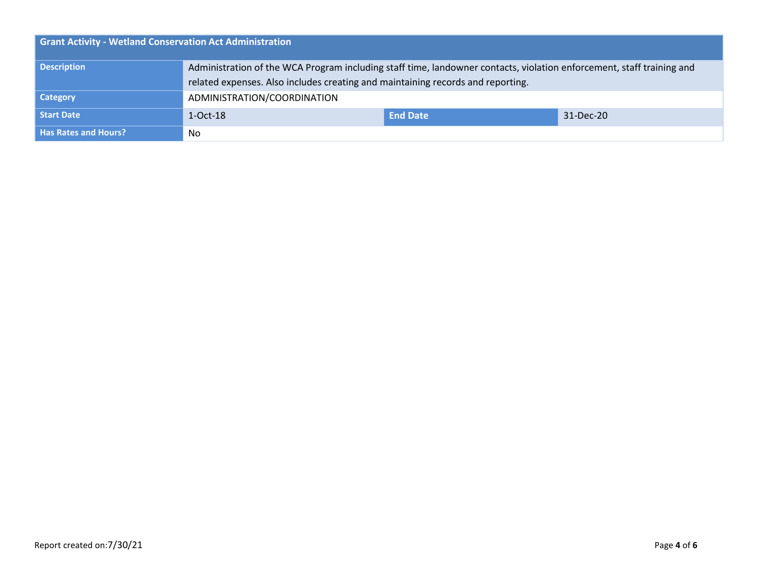| <b>Grant Activity - Wetland Conservation Act Administration</b> |                                                                                                                       |                 |           |  |  |
|-----------------------------------------------------------------|-----------------------------------------------------------------------------------------------------------------------|-----------------|-----------|--|--|
| <b>Description</b>                                              | Administration of the WCA Program including staff time, landowner contacts, violation enforcement, staff training and |                 |           |  |  |
|                                                                 | related expenses. Also includes creating and maintaining records and reporting.                                       |                 |           |  |  |
| <b>Category</b>                                                 | ADMINISTRATION/COORDINATION                                                                                           |                 |           |  |  |
| Start Date                                                      | $1-Oct-18$                                                                                                            | <b>End Date</b> | 31-Dec-20 |  |  |
| <b>Has Rates and Hours?</b>                                     | No.                                                                                                                   |                 |           |  |  |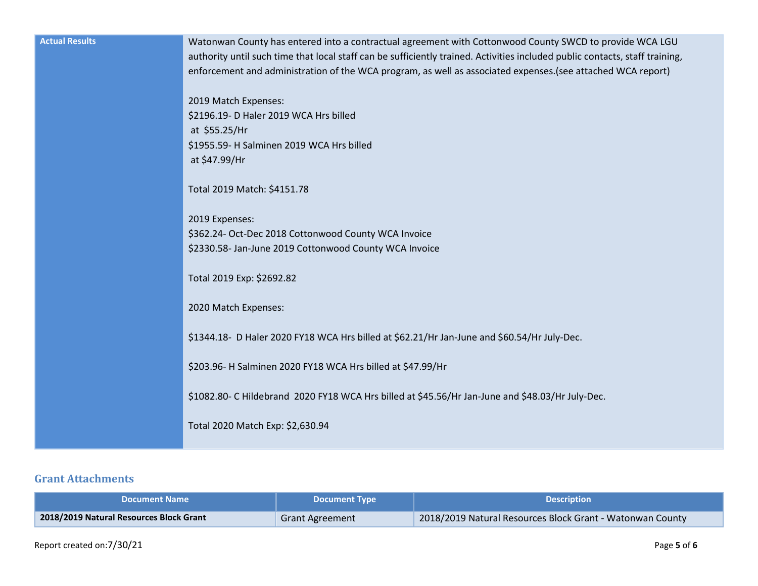| <b>Actual Results</b> | Watonwan County has entered into a contractual agreement with Cottonwood County SWCD to provide WCA LGU<br>authority until such time that local staff can be sufficiently trained. Activities included public contacts, staff training,<br>enforcement and administration of the WCA program, as well as associated expenses. (see attached WCA report)<br>2019 Match Expenses:<br>\$2196.19- D Haler 2019 WCA Hrs billed<br>at \$55.25/Hr<br>\$1955.59- H Salminen 2019 WCA Hrs billed<br>at \$47.99/Hr<br>Total 2019 Match: \$4151.78<br>2019 Expenses:<br>\$362.24- Oct-Dec 2018 Cottonwood County WCA Invoice<br>\$2330.58- Jan-June 2019 Cottonwood County WCA Invoice<br>Total 2019 Exp: \$2692.82<br>2020 Match Expenses:<br>\$1344.18- D Haler 2020 FY18 WCA Hrs billed at \$62.21/Hr Jan-June and \$60.54/Hr July-Dec.<br>\$203.96- H Salminen 2020 FY18 WCA Hrs billed at \$47.99/Hr<br>\$1082.80- C Hildebrand 2020 FY18 WCA Hrs billed at \$45.56/Hr Jan-June and \$48.03/Hr July-Dec.<br>Total 2020 Match Exp: \$2,630.94 |
|-----------------------|----------------------------------------------------------------------------------------------------------------------------------------------------------------------------------------------------------------------------------------------------------------------------------------------------------------------------------------------------------------------------------------------------------------------------------------------------------------------------------------------------------------------------------------------------------------------------------------------------------------------------------------------------------------------------------------------------------------------------------------------------------------------------------------------------------------------------------------------------------------------------------------------------------------------------------------------------------------------------------------------------------------------------------------|
|-----------------------|----------------------------------------------------------------------------------------------------------------------------------------------------------------------------------------------------------------------------------------------------------------------------------------------------------------------------------------------------------------------------------------------------------------------------------------------------------------------------------------------------------------------------------------------------------------------------------------------------------------------------------------------------------------------------------------------------------------------------------------------------------------------------------------------------------------------------------------------------------------------------------------------------------------------------------------------------------------------------------------------------------------------------------------|

#### **Grant Attachments**

| <b>Document Name</b>                    | <b>Document Type</b>   | <b>Description</b>                                        |
|-----------------------------------------|------------------------|-----------------------------------------------------------|
| 2018/2019 Natural Resources Block Grant | <b>Grant Agreement</b> | 2018/2019 Natural Resources Block Grant - Watonwan County |